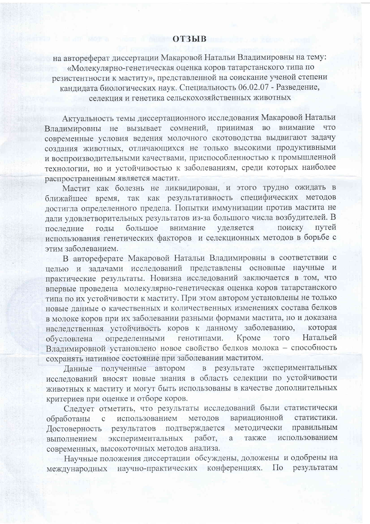## **СОТЗЫВ**

на автореферат диссертации Макаровой Натальи Владимировны на тему: «Молекулярно-генетическая оценка коров татарстанского типа по резистентности к маститу», представленной на соискание ученой степени<br>кандидата биологических наук. Специальность 06.02.07 - Разведение, селекция и генетика сельскохозяйственных животных

Актуальность темы диссертационного исследования Макаровой Натальи Владимировны не вызывает сомнений, принимая во внимание что современные условия ведения молочного скотоводства выдвигают задачу создания животных, отличающихся не только высокими продуктивными и воспроизводительными качествами, приспособленностью к промышленной технологии, но и устойчивостью к заболеваниям, среди которых наиболее распространенным является мастит.

Мастит как болезнь не ликвидирован, и этого трудно ожидать в ближайшее время, так как результативность специфических методов достигла определенного предела. Попытки иммунизации против мастита не дали удовлетворительных результатов из-за большого числа возбудителей. В уделяется большое внимание поиску путей последние годы использования генетических факторов и селекционных методов в борьбе с этим заболеванием.

В автореферате Макаровой Натальи Владимировны в соответствии с целью и задачами исследований представлены основные научные и практические результаты. Новизна исследований заключается в том, что впервые проведена молекулярно-генетическая оценка коров татарстанского типа по их устойчивости к маститу. При этом автором установлены не только новые данные о качественных и количественных изменениях состава белков в молоке коров при их заболевании разными формами мастита, но и доказана наследственная устойчивость коров к данному заболеванию, которая генотипами. определенными Кроме Натальей обусловлена **TOTO** Владимировной установлено новое свойство белков молока - способность сохранять нативное состояние при заболевании маститом.

в результате экспериментальных Данные полученные автором исследований вносят новые знания в область селекции по устойчивости животных к маститу и могут быть использованы в качестве дополнительных критериев при оценке и отборе коров.

Следует отметить, что результаты исследований были статистически вариационной использованием методов обработаны  $\mathbf{C}$ статистики. Достоверность результатов подтверждается методически правильным выполнением экспериментальных работ, а также использованием современных, высокоточных методов анализа.

Научные положения диссертации обсуждены, доложены и одобрены на международных научно-практических конференциях. По результатам